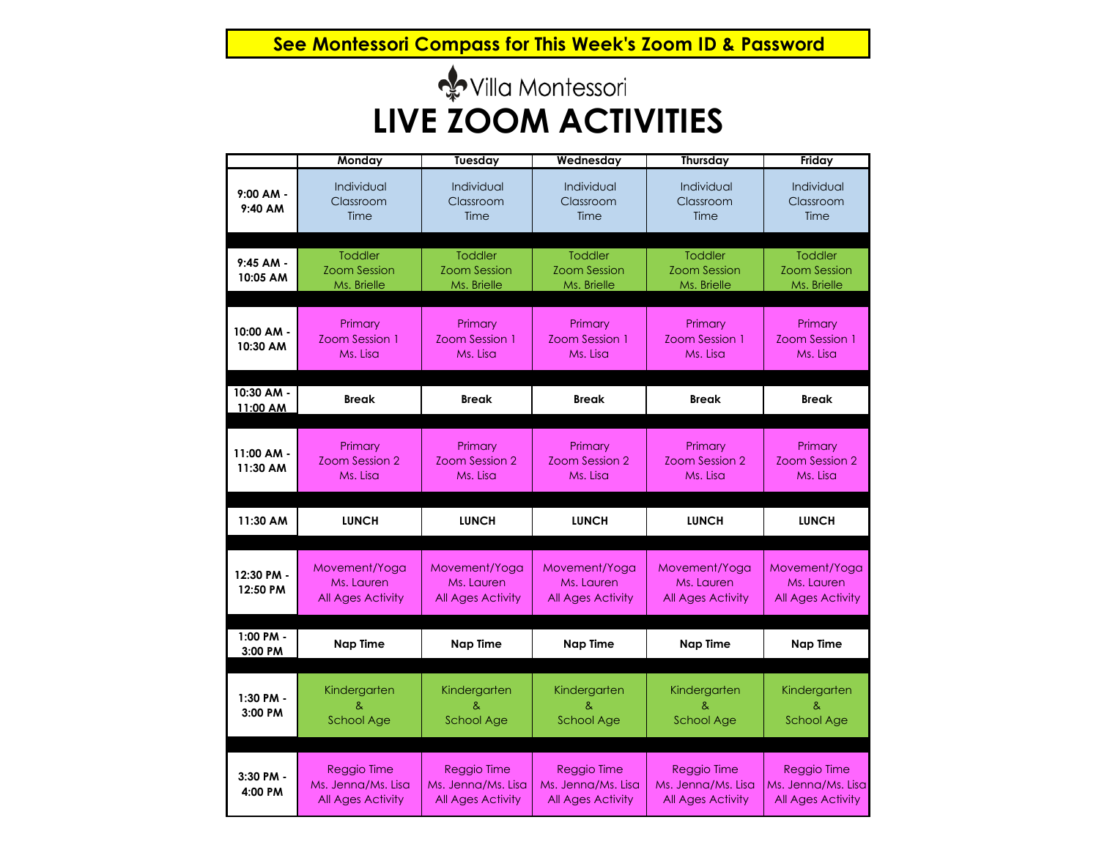**See Montessori Compass for This Week's Zoom ID & Password**

# villa Montessori **LIVE ZOOM ACTIVITIES**

|                          | Monday                                               | <b>Tuesday</b>                                          | Wednesday                                            | Thursday                                                | Friday                                                  |
|--------------------------|------------------------------------------------------|---------------------------------------------------------|------------------------------------------------------|---------------------------------------------------------|---------------------------------------------------------|
| $9:00 AM -$<br>9:40 AM   | Individual<br>Classroom<br>Time                      | Individual<br>Classroom<br>Time                         | Individual<br>Classroom<br>Time                      | Individual<br>Classroom<br>Time                         | Individual<br>Classroom<br>Time                         |
| $9:45$ AM -<br>10:05 AM  | <b>Toddler</b><br><b>Zoom Session</b><br>Ms. Brielle | <b>Toddler</b><br><b>Zoom Session</b><br>Ms. Brielle    | <b>Toddler</b><br><b>Zoom Session</b><br>Ms. Brielle | <b>Toddler</b><br><b>Zoom Session</b><br>Ms. Brielle    | <b>Toddler</b><br><b>Zoom Session</b><br>Ms. Brielle    |
| 10:00 AM -<br>10:30 AM   | Primary<br>Zoom Session 1<br>Ms. Lisa                | Primary<br>Zoom Session 1<br>Ms. Lisa                   | Primary<br>Zoom Session 1<br>Ms. Lisa                | Primary<br>Zoom Session 1<br>Ms. Lisa                   | Primary<br>Zoom Session 1<br>Ms. Lisa                   |
| 10:30 AM -<br>11:00 AM   | <b>Break</b>                                         | <b>Break</b>                                            | <b>Break</b>                                         | <b>Break</b>                                            | <b>Break</b>                                            |
| $11:00$ AM -<br>11:30 AM | Primary<br>Zoom Session 2<br>Ms. Lisa                | Primary<br>Zoom Session 2<br>Ms. Lisa                   | Primary<br>Zoom Session 2<br>Ms. Lisa                | Primary<br>Zoom Session 2<br>Ms. Lisa                   | Primary<br>Zoom Session 2<br>Ms. Lisa                   |
|                          |                                                      |                                                         |                                                      |                                                         |                                                         |
| 11:30 AM                 | <b>LUNCH</b>                                         | <b>LUNCH</b>                                            | <b>LUNCH</b>                                         | <b>LUNCH</b>                                            | <b>LUNCH</b>                                            |
| 12:30 PM -<br>12:50 PM   | Movement/Yoga<br>Ms. Lauren<br>All Ages Activity     | Movement/Yoga<br>Ms. Lauren<br><b>All Ages Activity</b> | Movement/Yoga<br>Ms. Lauren<br>All Ages Activity     | Movement/Yoga<br>Ms. Lauren<br><b>All Ages Activity</b> | Movement/Yoga<br>Ms. Lauren<br><b>All Ages Activity</b> |
| 1:00 PM -<br>3:00 PM     | <b>Nap Time</b>                                      | <b>Nap Time</b>                                         | <b>Nap Time</b>                                      | <b>Nap Time</b>                                         | <b>Nap Time</b>                                         |
| 1:30 PM -<br>3:00 PM     | Kindergarten<br>&<br><b>School Age</b>               | Kindergarten<br>ጼ<br><b>School Age</b>                  | Kindergarten<br>ጼ<br><b>School Age</b>               | Kindergarten<br>ጼ<br><b>School Age</b>                  | Kindergarten<br>ጼ<br><b>School Age</b>                  |